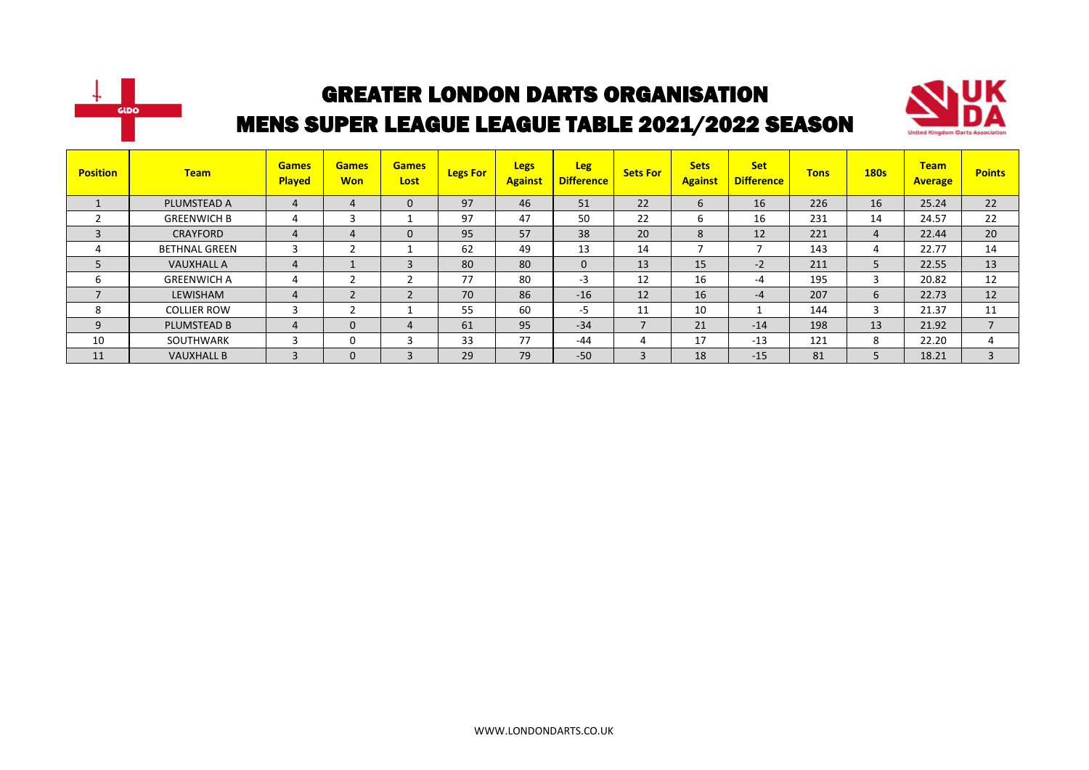



| <b>Position</b> | <b>Team</b>          | <b>Games</b><br><b>Played</b> | <b>Games</b><br><b>Won</b> | <b>Games</b><br>Lost | <b>Legs For</b> | <b>Legs</b><br><b>Against</b> | <b>Leg</b><br><b>Difference</b> | <b>Sets For</b> | <b>Sets</b><br><b>Against</b> | <b>Set</b><br><b>Difference</b> | <b>Tons</b> | <b>180s</b> | <b>Team</b><br><b>Average</b> | <b>Points</b> |
|-----------------|----------------------|-------------------------------|----------------------------|----------------------|-----------------|-------------------------------|---------------------------------|-----------------|-------------------------------|---------------------------------|-------------|-------------|-------------------------------|---------------|
|                 | PLUMSTEAD A          | 4                             | 4                          | $\Omega$             | 97              | 46                            | 51                              | 22              | $\mathbf b$                   | 16                              | 226         | 16          | 25.24                         | 22            |
|                 | <b>GREENWICH B</b>   |                               | 3                          |                      | 97              | 47                            | 50                              | 22              | b                             | 16                              | 231         | 14          | 24.57                         | 22            |
| 3               | <b>CRAYFORD</b>      | 4                             | 4                          | $\Omega$             | 95              | 57                            | 38                              | 20              | 8                             | 12                              | 221         | 4           | 22.44                         | 20            |
| 4               | <b>BETHNAL GREEN</b> |                               | $\mathbf{\hat{}}$          |                      | 62              | 49                            | 13                              | 14              |                               |                                 | 143         | 4           | 22.77                         | 14            |
|                 | <b>VAUXHALL A</b>    | 4                             |                            | $\overline{3}$       | 80              | 80                            | $\mathbf{0}$                    | 13              | 15                            | $-2$                            | 211         | 5           | 22.55                         | 13            |
| 6               | <b>GREENWICH A</b>   | 4                             |                            |                      | 77              | 80                            | -3                              | 12              | 16                            | -4                              | 195         | 3           | 20.82                         | 12            |
| $\overline{ }$  | LEWISHAM             | 4                             | $\overline{2}$             |                      | 70              | 86                            | $-16$                           | 12              | 16                            | $-4$                            | 207         | 6           | 22.73                         | 12            |
| 8               | <b>COLLIER ROW</b>   | 3                             | ຳ                          |                      | 55              | 60                            | -5                              | 11              | 10                            |                                 | 144         | 3           | 21.37                         | 11            |
| 9               | <b>PLUMSTEAD B</b>   | 4                             | $\mathbf{0}$               | 4                    | 61              | 95                            | $-34$                           |                 | 21                            | $-14$                           | 198         | 13          | 21.92                         |               |
| 10              | SOUTHWARK            | 3                             | 0                          |                      | 33              | 77                            | $-44$                           | 4               | 17                            | $-13$                           | 121         | 8           | 22.20                         |               |
| 11              | <b>VAUXHALL B</b>    | 3                             | $\mathbf 0$                | 3                    | 29              | 79                            | $-50$                           | $\sim$          | 18                            | $-15$                           | 81          | 5           | 18.21                         | $\mathbf{3}$  |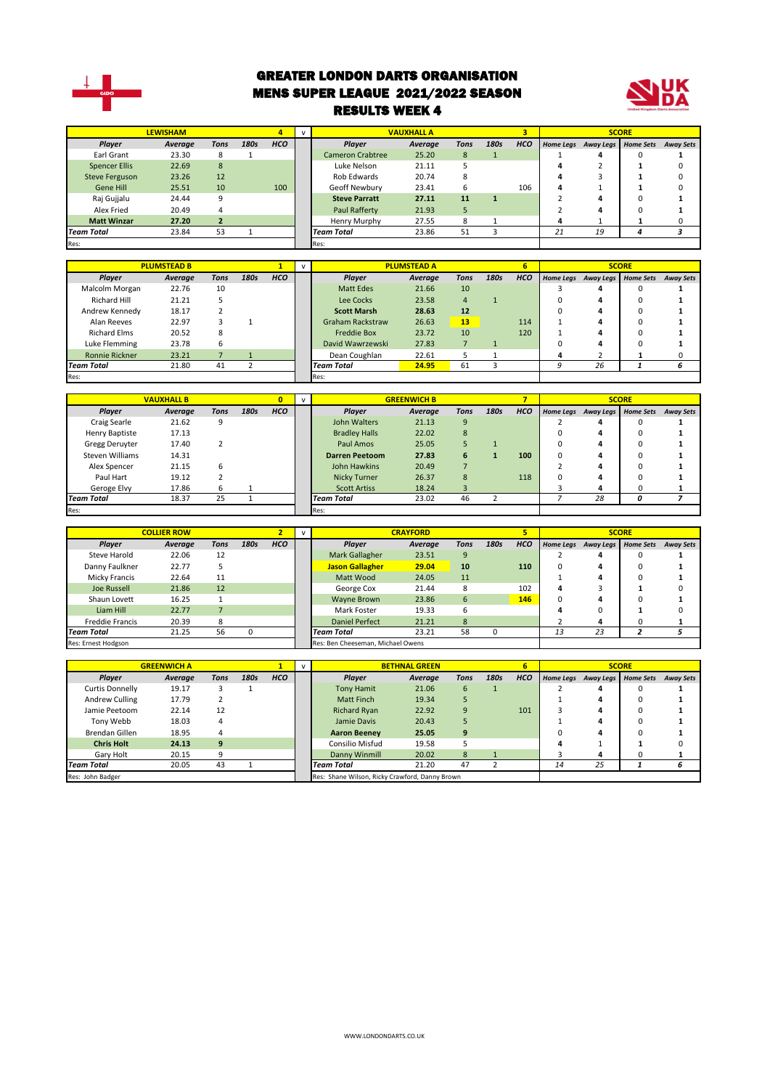

#### GREATER LONDON DARTS ORGANISATION MENS SUPER LEAGUE 2021/2022 SEASON RESULTS WEEK 4



|                       | <b>LEWISHAM</b> |      |      | 4          |                         | <b>VAUXHALL A</b> |             |      | з          |    |                     | <b>SCORE</b>     |                  |
|-----------------------|-----------------|------|------|------------|-------------------------|-------------------|-------------|------|------------|----|---------------------|------------------|------------------|
| Player                | Average         | Tons | 180s | <b>HCO</b> | <b>Plaver</b>           | Average           | <b>Tons</b> | 180s | <b>HCO</b> |    | Home Legs Away Legs | <b>Home Sets</b> | <b>Away Sets</b> |
| Earl Grant            | 23.30           | 8    |      |            | <b>Cameron Crabtree</b> | 25.20             | 8           |      |            |    |                     |                  |                  |
| <b>Spencer Ellis</b>  | 22.69           | 8    |      |            | Luke Nelson             | 21.11             |             |      |            |    |                     |                  |                  |
| <b>Steve Ferguson</b> | 23.26           | 12   |      |            | Rob Edwards             | 20.74             | ጸ           |      |            |    |                     |                  |                  |
| Gene Hill             | 25.51           | 10   |      | 100        | Geoff Newbury           | 23.41             | 6           |      | 106        | 4  |                     |                  |                  |
| Raj Gujjalu           | 24.44           | 9    |      |            | <b>Steve Parratt</b>    | 27.11             | 11          |      |            |    |                     |                  |                  |
| Alex Fried            | 20.49           |      |      |            | Paul Rafferty           | 21.93             | 5           |      |            |    |                     |                  |                  |
| <b>Matt Winzar</b>    | 27.20           |      |      |            | Henry Murphy            | 27.55             | 8           |      |            |    |                     |                  |                  |
| Team Total            | 23.84           | 53   |      |            | <b>Team Total</b>       | 23.86             | 51          |      |            | 21 | 19                  | 4                |                  |
| Res:                  |                 |      |      |            | Res:                    |                   |             |      |            |    |                     |                  |                  |
|                       |                 |      |      |            |                         |                   |             |      |            |    |                     |                  |                  |

|                       | <b>PLUMSTEAD B</b> |             |      |            |                         | <b>PLUMSTEAD A</b> |             |      | 6          |                               | <b>SCORE</b> |                  |
|-----------------------|--------------------|-------------|------|------------|-------------------------|--------------------|-------------|------|------------|-------------------------------|--------------|------------------|
| Player                | Average            | <b>Tons</b> | 180s | <b>HCO</b> | Player                  | Average            | <b>Tons</b> | 180s | <b>HCO</b> | Home Legs Away Legs Home Sets |              | <b>Away Sets</b> |
| Malcolm Morgan        | 22.76              | 10          |      |            | Matt Edes               | 21.66              | 10          |      |            |                               |              |                  |
| Richard Hill          | 21.21              |             |      |            | Lee Cocks               | 23.58              | 4           |      |            |                               |              |                  |
| Andrew Kennedy        | 18.17              |             |      |            | <b>Scott Marsh</b>      | 28.63              | 12          |      |            |                               |              |                  |
| Alan Reeves           | 22.97              |             |      |            | <b>Graham Rackstraw</b> | 26.63              | 13          |      | 114        |                               |              |                  |
| <b>Richard Elms</b>   | 20.52              | 8           |      |            | <b>Freddie Box</b>      | 23.72              | 10          |      | 120        |                               |              |                  |
| Luke Flemming         | 23.78              | 6           |      |            | David Wawrzewski        | 27.83              |             |      |            |                               |              |                  |
| <b>Ronnie Rickner</b> | 23.21              |             |      |            | Dean Coughlan           | 22.61              |             |      |            |                               |              |                  |
| <b>Team Total</b>     | 21.80              | 41          |      |            | <b>Team Total</b>       | 24.95              | 61          |      |            | 26                            |              |                  |
| Res:                  |                    |             |      |            | Res:                    |                    |             |      |            |                               |              |                  |

|                   | <b>VAUXHALL B</b> |      |      |            |                       | <b>GREENWICH B</b> |      |      |            |                     | <b>SCORE</b>     |                  |
|-------------------|-------------------|------|------|------------|-----------------------|--------------------|------|------|------------|---------------------|------------------|------------------|
| <b>Player</b>     | Average           | Tons | 180s | <b>HCO</b> | Player                | Average            | Tons | 180s | <b>HCO</b> | Home Legs Away Legs | <b>Home Sets</b> | <b>Away Sets</b> |
| Craig Searle      | 21.62             | 9    |      |            | John Walters          | 21.13              | 9    |      |            |                     |                  |                  |
| Henry Baptiste    | 17.13             |      |      |            | <b>Bradley Halls</b>  | 22.02              | 8    |      |            |                     |                  |                  |
| Gregg Deruyter    | 17.40             |      |      |            | Paul Amos             | 25.05              |      |      |            |                     |                  |                  |
| Steven Williams   | 14.31             |      |      |            | <b>Darren Peetoom</b> | 27.83              | 6    |      | 100        |                     |                  |                  |
| Alex Spencer      | 21.15             | 6    |      |            | John Hawkins          | 20.49              |      |      |            |                     |                  |                  |
| Paul Hart         | 19.12             |      |      |            | <b>Nicky Turner</b>   | 26.37              | 8    |      | 118        |                     |                  |                  |
| Geroge Elvy       | 17.86             | 6    |      |            | <b>Scott Artiss</b>   | 18.24              | 3    |      |            |                     |                  |                  |
| <b>Team Total</b> | 18.37             | 25   |      |            | <b>Team Total</b>     | 23.02              | 46   |      |            | 28                  | Ω                |                  |
| Res:              |                   |      |      |            | Res:                  |                    |      |      |            |                     |                  |                  |

|                                  | <b>COLLIER ROW</b> |      |      |                   |                                   | <b>CRAYFORD</b> |             |      | 5          |                  |           | <b>SCORE</b>     |                  |
|----------------------------------|--------------------|------|------|-------------------|-----------------------------------|-----------------|-------------|------|------------|------------------|-----------|------------------|------------------|
| Player                           | Average            | Tons | 180s | <b>HCO</b>        | Plaver                            | Average         | <b>Tons</b> | 180s | <b>HCO</b> | <b>Home Legs</b> | Away Legs | <b>Home Sets</b> | <b>Away Sets</b> |
| Steve Harold                     | 22.06              | 12   |      |                   | Mark Gallagher                    | 23.51           | 9           |      |            |                  | 4         |                  |                  |
| Danny Faulkner                   | 22.77              |      |      |                   | <b>Jason Gallagher</b>            | 29.04           | 10          |      | 110        | 0                | 4         | 0                |                  |
| Micky Francis                    | 22.64              | 11   |      |                   | 24.05<br>Matt Wood<br>11          |                 |             |      |            | 4                |           |                  |                  |
| Joe Russell                      | 21.86              | 12   |      |                   | George Cox                        | 21.44           |             |      | 102        | 4                |           |                  |                  |
| Shaun Lovett                     | 16.25              |      |      |                   | Wayne Brown                       | 23.86           | 6           |      | 146        | 0                | 4         |                  |                  |
| Liam Hill                        | 22.77              |      |      |                   | Mark Foster                       | 19.33           | h           |      |            |                  |           |                  |                  |
| <b>Freddie Francis</b>           | 20.39              | 8    |      |                   | <b>Daniel Perfect</b>             | 21.21           | 8           |      |            |                  | 4         |                  |                  |
| <b>Team Total</b><br>56<br>21.25 |                    |      |      | <b>Team Total</b> | 23.21                             | 58              |             |      | 13         | 23               |           |                  |                  |
| Res: Ernest Hodgson              |                    |      |      |                   | Res: Ben Cheeseman, Michael Owens |                 |             |      |            |                  |           |                  |                  |

|                   | <b>GREENWICH A</b> |      |      |                   |                                                | <b>BETHNAL GREEN</b> |             |      | 6          |                  |           | <b>SCORE</b>     |                  |
|-------------------|--------------------|------|------|-------------------|------------------------------------------------|----------------------|-------------|------|------------|------------------|-----------|------------------|------------------|
| Player            | Average            | Tons | 180s | <b>HCO</b>        | <b>Plaver</b>                                  | Average              | <b>Tons</b> | 180s | <b>HCO</b> | <b>Home Leas</b> | Away Legs | <b>Home Sets</b> | <b>Away Sets</b> |
| Curtis Donnelly   | 19.17              |      |      |                   | <b>Tony Hamit</b>                              | 21.06                | 6           |      |            |                  |           |                  |                  |
| Andrew Culling    | 17.79              |      |      |                   | <b>Matt Finch</b>                              | 19.34                |             |      |            |                  |           |                  |                  |
| Jamie Peetoom     | 22.14              | 12   |      |                   | <b>Richard Ryan</b>                            | 22.92                |             |      | 101        |                  |           |                  |                  |
| Tony Webb         | 18.03              | 4    |      |                   | Jamie Davis                                    | 20.43                |             |      |            |                  |           |                  |                  |
| Brendan Gillen    | 18.95              | 4    |      |                   | <b>Aaron Beeney</b>                            | 25.05                | 9           |      |            |                  |           |                  |                  |
| <b>Chris Holt</b> | 24.13              | 9    |      |                   | Consilio Misfud                                | 19.58                |             |      |            |                  |           |                  |                  |
| Gary Holt         | 20.15              | 9    |      |                   | Danny Winmill                                  | 20.02                | 8           |      |            |                  |           |                  |                  |
| <b>Team Total</b> | 43<br>20.05        |      |      | <b>Team Total</b> | 21.20                                          | 47                   |             |      | 14         | 25               |           | b                |                  |
| Res: John Badger  |                    |      |      |                   | Res: Shane Wilson, Ricky Crawford, Danny Brown |                      |             |      |            |                  |           |                  |                  |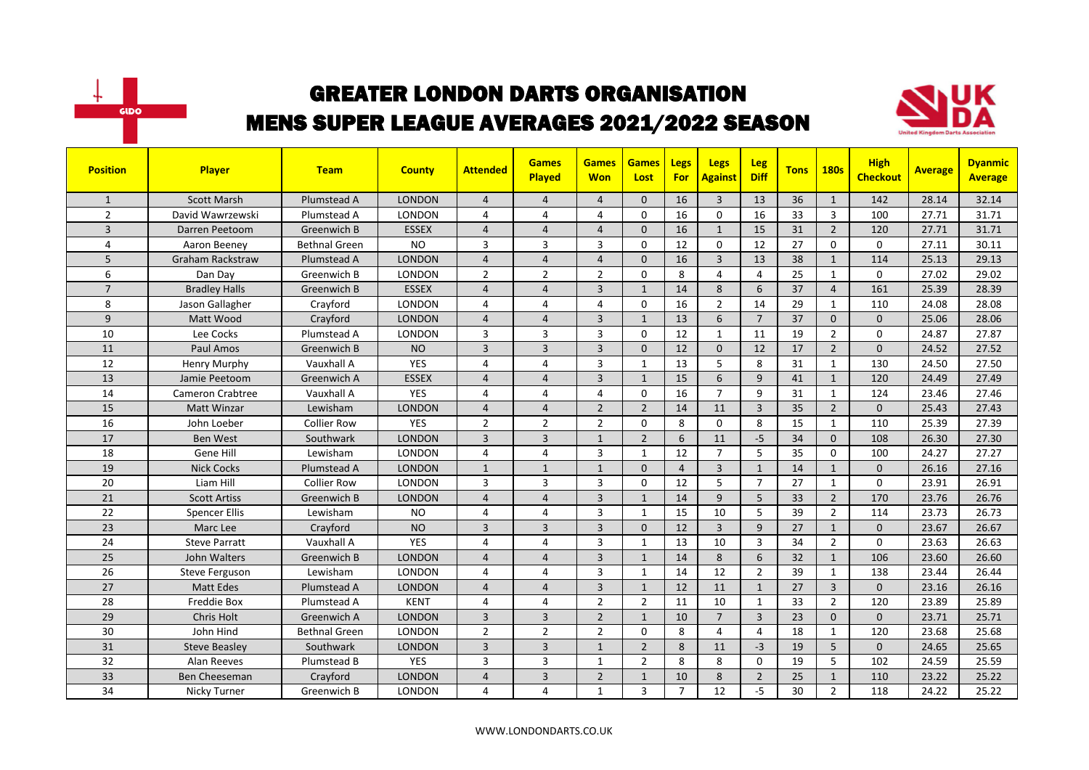



| <b>Position</b> | <b>Player</b>           | <b>Team</b>          | <b>County</b> | <b>Attended</b> | <b>Games</b><br><b>Played</b> | <b>Games</b><br><b>Won</b> | <b>Games</b><br>Lost | Legs<br>For    | <b>Legs</b><br><b>Against</b> | Leg<br><b>Diff</b> | <b>Tons</b> | <b>180s</b>    | <b>High</b><br><b>Checkout</b> | <b>Average</b> | <b>Dyanmic</b><br><b>Average</b> |
|-----------------|-------------------------|----------------------|---------------|-----------------|-------------------------------|----------------------------|----------------------|----------------|-------------------------------|--------------------|-------------|----------------|--------------------------------|----------------|----------------------------------|
| $\mathbf{1}$    | <b>Scott Marsh</b>      | Plumstead A          | <b>LONDON</b> | $\overline{4}$  | $\overline{4}$                | $\overline{4}$             | $\Omega$             | 16             | $\overline{3}$                | 13                 | 36          | $\mathbf{1}$   | 142                            | 28.14          | 32.14                            |
| $\overline{2}$  | David Wawrzewski        | Plumstead A          | <b>LONDON</b> | 4               | $\overline{4}$                | 4                          | $\Omega$             | 16             | $\Omega$                      | 16                 | 33          | $\overline{3}$ | 100                            | 27.71          | 31.71                            |
| $\overline{3}$  | Darren Peetoom          | Greenwich B          | <b>ESSEX</b>  | $\overline{4}$  | $\overline{4}$                | $\overline{4}$             | $\Omega$             | 16             | $\mathbf{1}$                  | 15                 | 31          | $\overline{2}$ | 120                            | 27.71          | 31.71                            |
| 4               | Aaron Beeney            | <b>Bethnal Green</b> | <b>NO</b>     | 3               | 3                             | 3                          | 0                    | 12             | 0                             | 12                 | 27          | $\mathbf 0$    | 0                              | 27.11          | 30.11                            |
| 5               | <b>Graham Rackstraw</b> | Plumstead A          | <b>LONDON</b> | 4               | $\overline{a}$                | $\overline{4}$             | $\Omega$             | 16             | $\overline{3}$                | 13                 | 38          | $\mathbf{1}$   | 114                            | 25.13          | 29.13                            |
| 6               | Dan Day                 | Greenwich B          | <b>LONDON</b> | $\overline{2}$  | $\overline{2}$                | $\overline{2}$             | $\Omega$             | 8              | $\overline{4}$                | $\overline{4}$     | 25          | $\mathbf{1}$   | 0                              | 27.02          | 29.02                            |
| $\overline{7}$  | <b>Bradley Halls</b>    | Greenwich B          | <b>ESSEX</b>  | $\overline{4}$  | $\Delta$                      | $\overline{3}$             | $\mathbf{1}$         | 14             | 8                             | 6                  | 37          | $\overline{4}$ | 161                            | 25.39          | 28.39                            |
| 8               | Jason Gallagher         | Crayford             | <b>LONDON</b> | 4               | $\overline{a}$                | 4                          | $\Omega$             | 16             | $\overline{2}$                | 14                 | 29          | $\mathbf{1}$   | 110                            | 24.08          | 28.08                            |
| 9               | Matt Wood               | Crayford             | <b>LONDON</b> | $\overline{4}$  | $\overline{4}$                | $\overline{3}$             | $\mathbf{1}$         | 13             | 6                             | $\overline{7}$     | 37          | $\mathbf{0}$   | $\mathbf{0}$                   | 25.06          | 28.06                            |
| 10              | Lee Cocks               | Plumstead A          | LONDON        | 3               | $\overline{3}$                | 3                          | $\mathbf 0$          | 12             | 1                             | 11                 | 19          | $\overline{2}$ | $\mathbf 0$                    | 24.87          | 27.87                            |
| 11              | Paul Amos               | Greenwich B          | <b>NO</b>     | 3               | $\overline{3}$                | 3                          | $\Omega$             | 12             | $\Omega$                      | 12                 | 17          | $\overline{2}$ | $\mathbf{0}$                   | 24.52          | 27.52                            |
| 12              | Henry Murphy            | Vauxhall A           | <b>YES</b>    | 4               | $\overline{4}$                | 3                          | $\mathbf{1}$         | 13             | 5                             | 8                  | 31          | $\mathbf{1}$   | 130                            | 24.50          | 27.50                            |
| 13              | Jamie Peetoom           | Greenwich A          | <b>ESSEX</b>  | $\overline{a}$  | $\overline{4}$                | $\overline{3}$             | $\mathbf{1}$         | 15             | 6                             | 9                  | 41          | $\mathbf{1}$   | 120                            | 24.49          | 27.49                            |
| 14              | <b>Cameron Crabtree</b> | Vauxhall A           | <b>YES</b>    | 4               | $\overline{4}$                | 4                          | $\Omega$             | 16             | $\overline{7}$                | 9                  | 31          | $\mathbf{1}$   | 124                            | 23.46          | 27.46                            |
| 15              | Matt Winzar             | Lewisham             | <b>LONDON</b> | $\overline{4}$  | $\overline{4}$                | $\overline{2}$             | $\overline{2}$       | 14             | 11                            | $\overline{3}$     | 35          | $\overline{2}$ | 0                              | 25.43          | 27.43                            |
| 16              | John Loeber             | <b>Collier Row</b>   | <b>YES</b>    | $\overline{2}$  | $\overline{2}$                | $\overline{2}$             | $\Omega$             | 8              | $\Omega$                      | 8                  | 15          | $\mathbf{1}$   | 110                            | 25.39          | 27.39                            |
| 17              | <b>Ben West</b>         | Southwark            | <b>LONDON</b> | $\overline{3}$  | $\overline{3}$                | $\mathbf{1}$               | $\overline{2}$       | 6              | 11                            | $-5$               | 34          | $\Omega$       | 108                            | 26.30          | 27.30                            |
| 18              | Gene Hill               | Lewisham             | LONDON        | 4               | $\overline{4}$                | 3                          | $\mathbf{1}$         | 12             | $\overline{7}$                | 5                  | 35          | $\mathbf 0$    | 100                            | 24.27          | 27.27                            |
| 19              | <b>Nick Cocks</b>       | Plumstead A          | <b>LONDON</b> | $\mathbf{1}$    | $\mathbf{1}$                  | $\mathbf{1}$               | $\Omega$             | $\overline{4}$ | $\overline{3}$                | $\mathbf{1}$       | 14          | $\mathbf{1}$   | $\Omega$                       | 26.16          | 27.16                            |
| 20              | Liam Hill               | <b>Collier Row</b>   | LONDON        | 3               | 3                             | 3                          | $\Omega$             | 12             | 5                             | $\overline{7}$     | 27          | $\mathbf{1}$   | 0                              | 23.91          | 26.91                            |
| 21              | <b>Scott Artiss</b>     | Greenwich B          | <b>LONDON</b> | $\overline{4}$  | $\overline{4}$                | 3                          | $\mathbf{1}$         | 14             | 9                             | 5                  | 33          | $\overline{2}$ | 170                            | 23.76          | 26.76                            |
| 22              | <b>Spencer Ellis</b>    | Lewisham             | <b>NO</b>     | 4               | $\overline{a}$                | 3                          | $\mathbf{1}$         | 15             | 10                            | 5                  | 39          | $\mathbf{2}$   | 114                            | 23.73          | 26.73                            |
| 23              | Marc Lee                | Crayford             | <b>NO</b>     | 3               | $\overline{3}$                | $\overline{3}$             | $\Omega$             | 12             | $\overline{3}$                | 9                  | 27          | $\mathbf{1}$   | $\Omega$                       | 23.67          | 26.67                            |
| 24              | <b>Steve Parratt</b>    | Vauxhall A           | <b>YES</b>    | 4               | $\overline{4}$                | 3                          | $\mathbf{1}$         | 13             | 10                            | $\overline{3}$     | 34          | $\overline{2}$ | $\Omega$                       | 23.63          | 26.63                            |
| 25              | John Walters            | Greenwich B          | <b>LONDON</b> | $\overline{4}$  | $\overline{4}$                | $\overline{3}$             | $\mathbf{1}$         | 14             | 8                             | 6                  | 32          | $\mathbf{1}$   | 106                            | 23.60          | 26.60                            |
| 26              | Steve Ferguson          | Lewisham             | <b>LONDON</b> | 4               | $\overline{4}$                | 3                          | $\mathbf{1}$         | 14             | 12                            | $\overline{2}$     | 39          | $\mathbf{1}$   | 138                            | 23.44          | 26.44                            |
| 27              | <b>Matt Edes</b>        | Plumstead A          | <b>LONDON</b> | 4               | $\overline{a}$                | 3                          | $\mathbf{1}$         | 12             | 11                            | $\mathbf{1}$       | 27          | $\overline{3}$ | $\Omega$                       | 23.16          | 26.16                            |
| 28              | Freddie Box             | Plumstead A          | <b>KENT</b>   | 4               | $\overline{4}$                | $\overline{2}$             | $\overline{2}$       | 11             | 10                            | $\mathbf{1}$       | 33          | $\overline{2}$ | 120                            | 23.89          | 25.89                            |
| 29              | Chris Holt              | Greenwich A          | <b>LONDON</b> | $\overline{3}$  | $\overline{3}$                | $\overline{2}$             | $\mathbf{1}$         | 10             | $\overline{7}$                | $\overline{3}$     | 23          | $\mathbf{0}$   | $\Omega$                       | 23.71          | 25.71                            |
| 30              | John Hind               | <b>Bethnal Green</b> | <b>LONDON</b> | $\overline{2}$  | $\overline{2}$                | $\overline{2}$             | $\Omega$             | 8              | $\overline{4}$                | $\overline{4}$     | 18          | $\mathbf{1}$   | 120                            | 23.68          | 25.68                            |
| 31              | <b>Steve Beasley</b>    | Southwark            | <b>LONDON</b> | 3               | $\overline{3}$                | $\mathbf{1}$               | $\overline{2}$       | 8              | 11                            | $-3$               | 19          | 5              | $\mathbf{0}$                   | 24.65          | 25.65                            |
| 32              | Alan Reeves             | Plumstead B          | <b>YES</b>    | 3               | 3                             | 1                          | 2                    | 8              | 8                             | $\mathbf 0$        | 19          | 5              | 102                            | 24.59          | 25.59                            |
| 33              | Ben Cheeseman           | Crayford             | <b>LONDON</b> | 4               | $\overline{3}$                | $\overline{2}$             | $\mathbf{1}$         | 10             | 8                             | $\overline{2}$     | 25          | $\mathbf{1}$   | 110                            | 23.22          | 25.22                            |
| 34              | Nicky Turner            | Greenwich B          | LONDON        | 4               | 4                             | $\mathbf{1}$               | 3                    | $\overline{7}$ | 12                            | $-5$               | 30          | $\overline{2}$ | 118                            | 24.22          | 25.22                            |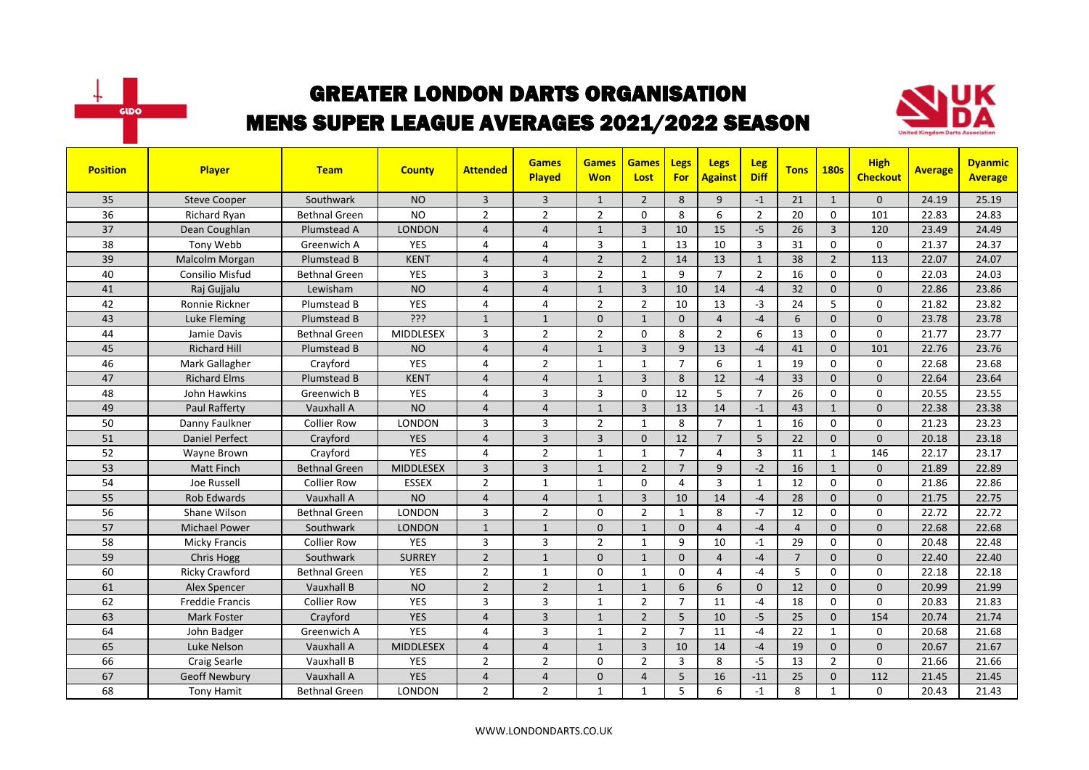



| <b>Position</b> | Player                 | <b>Team</b>          | <b>County</b>    | <b>Attended</b> | <b>Games</b><br><b>Played</b> | <b>Games</b><br><b>Won</b> | <b>Games</b><br>Lost | Legs<br><b>For</b> | <b>Legs</b><br><b>Against</b> | <b>Leg</b><br><b>Diff</b> | <b>Tons</b>    | <b>180s</b>    | <b>High</b><br><b>Checkout</b> | <b>Average</b> | <b>Dyanmic</b><br><b>Average</b> |
|-----------------|------------------------|----------------------|------------------|-----------------|-------------------------------|----------------------------|----------------------|--------------------|-------------------------------|---------------------------|----------------|----------------|--------------------------------|----------------|----------------------------------|
| 35              | <b>Steve Cooper</b>    | Southwark            | <b>NO</b>        | 3               | $\overline{3}$                | $\mathbf{1}$               | $\overline{2}$       | 8                  | 9                             | $-1$                      | 21             | $\mathbf{1}$   | $\mathbf{0}$                   | 24.19          | 25.19                            |
| 36              | <b>Richard Ryan</b>    | <b>Bethnal Green</b> | <b>NO</b>        | $\overline{2}$  | $\overline{2}$                | $\overline{2}$             | $\mathbf{0}$         | 8                  | 6                             | $\overline{2}$            | 20             | $\Omega$       | 101                            | 22.83          | 24.83                            |
| 37              | Dean Coughlan          | Plumstead A          | <b>LONDON</b>    | 4               | $\overline{4}$                | $\mathbf{1}$               | 3                    | 10                 | 15                            | $-5$                      | 26             | $\overline{3}$ | 120                            | 23.49          | 24.49                            |
| 38              | Tony Webb              | Greenwich A          | YES              | 4               | $\overline{a}$                | 3                          | $\mathbf{1}$         | 13                 | 10                            | $\mathbf{3}$              | 31             | $\mathbf 0$    | 0                              | 21.37          | 24.37                            |
| 39              | Malcolm Morgan         | Plumstead B          | <b>KENT</b>      | $\overline{4}$  | $\overline{4}$                | $\overline{2}$             | $\overline{2}$       | 14                 | 13                            | $\mathbf{1}$              | 38             | $\overline{2}$ | 113                            | 22.07          | 24.07                            |
| 40              | <b>Consilio Misfud</b> | <b>Bethnal Green</b> | <b>YES</b>       | 3               | $\overline{3}$                | $\overline{2}$             | $\mathbf{1}$         | 9                  | $\overline{7}$                | $\overline{2}$            | 16             | $\Omega$       | $\mathbf 0$                    | 22.03          | 24.03                            |
| 41              | Raj Gujjalu            | Lewisham             | <b>NO</b>        | $\overline{4}$  | $\overline{4}$                | $\mathbf{1}$               | $\overline{3}$       | 10                 | 14                            | $-4$                      | 32             | $\Omega$       | $\Omega$                       | 22.86          | 23.86                            |
| 42              | Ronnie Rickner         | Plumstead B          | YES              | 4               | $\overline{4}$                | $\overline{2}$             | $\overline{2}$       | 10                 | 13                            | $-3$                      | 24             | 5              | $\mathbf 0$                    | 21.82          | 23.82                            |
| 43              | <b>Luke Fleming</b>    | Plumstead B          | ???              | $\mathbf{1}$    | $\mathbf{1}$                  | 0                          | $\mathbf{1}$         | $\mathbf{0}$       | $\overline{4}$                | $-4$                      | 6              | $\mathbf{0}$   | $\mathbf{0}$                   | 23.78          | 23.78                            |
| 44              | Jamie Davis            | <b>Bethnal Green</b> | MIDDLESEX        | 3               | $\overline{2}$                | $\overline{2}$             | $\mathbf 0$          | 8                  | $\overline{2}$                | 6                         | 13             | $\mathbf 0$    | $\mathbf 0$                    | 21.77          | 23.77                            |
| 45              | <b>Richard Hill</b>    | Plumstead B          | <b>NO</b>        | $\overline{4}$  | $\overline{4}$                | $\mathbf{1}$               | $\overline{3}$       | 9                  | 13                            | $-4$                      | 41             | $\Omega$       | 101                            | 22.76          | 23.76                            |
| 46              | Mark Gallagher         | Crayford             | <b>YES</b>       | 4               | $\overline{2}$                | $\mathbf{1}$               | $\mathbf{1}$         | $\overline{7}$     | 6                             | $\mathbf{1}$              | 19             | $\Omega$       | $\Omega$                       | 22.68          | 23.68                            |
| 47              | <b>Richard Elms</b>    | Plumstead B          | <b>KENT</b>      | $\overline{4}$  | $\overline{4}$                | $\mathbf{1}$               | 3                    | 8                  | 12                            | $-4$                      | 33             | $\mathbf 0$    | $\mathbf{0}$                   | 22.64          | 23.64                            |
| 48              | John Hawkins           | Greenwich B          | <b>YES</b>       | 4               | $\overline{3}$                | 3                          | $\Omega$             | 12                 | 5                             | $\overline{7}$            | 26             | $\Omega$       | $\mathbf 0$                    | 20.55          | 23.55                            |
| 49              | <b>Paul Rafferty</b>   | Vauxhall A           | <b>NO</b>        | $\overline{4}$  | $\overline{4}$                | $\mathbf{1}$               | $\overline{3}$       | 13                 | 14                            | $-1$                      | 43             | $\mathbf{1}$   | $\mathbf{0}$                   | 22.38          | 23.38                            |
| 50              | Danny Faulkner         | <b>Collier Row</b>   | LONDON           | 3               | $\overline{3}$                | $\overline{2}$             | $\mathbf{1}$         | 8                  | $\overline{7}$                | $\mathbf{1}$              | 16             | $\Omega$       | $\Omega$                       | 21.23          | 23.23                            |
| 51              | <b>Daniel Perfect</b>  | Crayford             | <b>YES</b>       | $\overline{4}$  | $\overline{3}$                | $\overline{3}$             | $\mathbf{0}$         | 12                 | $\overline{7}$                | 5                         | 22             | $\mathbf{0}$   | $\mathbf{0}$                   | 20.18          | 23.18                            |
| 52              | Wayne Brown            | Crayford             | YES              | 4               | $\overline{2}$                | 1                          | 1                    | $\overline{7}$     | 4                             | $\overline{3}$            | 11             | $\mathbf{1}$   | 146                            | 22.17          | 23.17                            |
| 53              | <b>Matt Finch</b>      | <b>Bethnal Green</b> | <b>MIDDLESEX</b> | $\overline{3}$  | $\overline{3}$                | $\mathbf{1}$               | $\overline{2}$       | $\overline{7}$     | 9                             | $-2$                      | 16             | $\mathbf{1}$   | $\Omega$                       | 21.89          | 22.89                            |
| 54              | Joe Russell            | <b>Collier Row</b>   | <b>ESSEX</b>     | $\overline{2}$  | $\mathbf{1}$                  | 1                          | $\Omega$             | 4                  | 3                             | $\mathbf{1}$              | 12             | $\Omega$       | $\Omega$                       | 21.86          | 22.86                            |
| 55              | <b>Rob Edwards</b>     | Vauxhall A           | <b>NO</b>        | $\overline{4}$  | $\overline{4}$                | $\mathbf{1}$               | $\overline{3}$       | 10                 | 14                            | $-4$                      | 28             | $\Omega$       | $\Omega$                       | 21.75          | 22.75                            |
| 56              | Shane Wilson           | Bethnal Green        | <b>LONDON</b>    | 3               | $\overline{2}$                | 0                          | $\overline{2}$       | $\mathbf{1}$       | 8                             | $-7$                      | 12             | $\mathbf 0$    | $\mathbf 0$                    | 22.72          | 22.72                            |
| 57              | <b>Michael Power</b>   | Southwark            | <b>LONDON</b>    | $\mathbf{1}$    | $\mathbf{1}$                  | 0                          | $\mathbf{1}$         | $\mathbf{0}$       | 4                             | $-4$                      | $\overline{4}$ | $\mathbf{0}$   | $\Omega$                       | 22.68          | 22.68                            |
| 58              | <b>Micky Francis</b>   | <b>Collier Row</b>   | <b>YES</b>       | 3               | $\overline{3}$                | $\overline{2}$             | $\mathbf{1}$         | 9                  | 10                            | $-1$                      | 29             | $\Omega$       | $\mathbf 0$                    | 20.48          | 22.48                            |
| 59              | <b>Chris Hogg</b>      | Southwark            | <b>SURREY</b>    | $\overline{2}$  | $\mathbf{1}$                  | $\Omega$                   | $\mathbf{1}$         | $\Omega$           | $\overline{4}$                | $-4$                      | $\overline{7}$ | $\Omega$       | $\mathbf{0}$                   | 22.40          | 22.40                            |
| 60              | <b>Ricky Crawford</b>  | <b>Bethnal Green</b> | <b>YES</b>       | $\overline{2}$  | $\mathbf{1}$                  | $\Omega$                   | $\mathbf{1}$         | $\Omega$           | 4                             | $-4$                      | 5              | $\Omega$       | $\Omega$                       | 22.18          | 22.18                            |
| 61              | <b>Alex Spencer</b>    | Vauxhall B           | <b>NO</b>        | $\overline{2}$  | $\overline{2}$                | $\mathbf{1}$               | $\mathbf{1}$         | 6                  | 6                             | $\mathbf{0}$              | 12             | $\mathbf{0}$   | $\mathbf{0}$                   | 20.99          | 21.99                            |
| 62              | <b>Freddie Francis</b> | <b>Collier Row</b>   | <b>YES</b>       | 3               | $\overline{3}$                | $\mathbf{1}$               | $\overline{2}$       | $\overline{7}$     | 11                            | $-4$                      | 18             | $\Omega$       | $\Omega$                       | 20.83          | 21.83                            |
| 63              | <b>Mark Foster</b>     | Crayford             | <b>YES</b>       | $\overline{4}$  | $\overline{3}$                | $\mathbf{1}$               | $\overline{2}$       | 5                  | 10                            | $-5$                      | 25             | $\mathbf 0$    | 154                            | 20.74          | 21.74                            |
| 64              | John Badger            | Greenwich A          | <b>YES</b>       | 4               | $\overline{3}$                | $\mathbf{1}$               | $\overline{2}$       | $\overline{7}$     | 11                            | $-4$                      | 22             | $\mathbf{1}$   | $\Omega$                       | 20.68          | 21.68                            |
| 65              | Luke Nelson            | Vauxhall A           | <b>MIDDLESEX</b> | $\overline{4}$  | $\overline{4}$                | $\mathbf{1}$               | $\overline{3}$       | 10                 | 14                            | $-4$                      | 19             | $\Omega$       | $\Omega$                       | 20.67          | 21.67                            |
| 66              | Craig Searle           | Vauxhall B           | <b>YES</b>       | $\overline{2}$  | $\overline{2}$                | 0                          | 2                    | 3                  | 8                             | $-5$                      | 13             | $\overline{2}$ | $\mathbf 0$                    | 21.66          | 21.66                            |
| 67              | <b>Geoff Newbury</b>   | Vauxhall A           | <b>YES</b>       | 4               | $\overline{a}$                | 0                          | $\overline{4}$       | 5                  | 16                            | $-11$                     | 25             | $\mathbf{0}$   | 112                            | 21.45          | 21.45                            |
| 68              | <b>Tony Hamit</b>      | <b>Bethnal Green</b> | LONDON           | $\overline{2}$  | $\overline{2}$                | $\mathbf{1}$               | $\mathbf{1}$         | 5                  | 6                             | $-1$                      | 8              | $\mathbf{1}$   | 0                              | 20.43          | 21.43                            |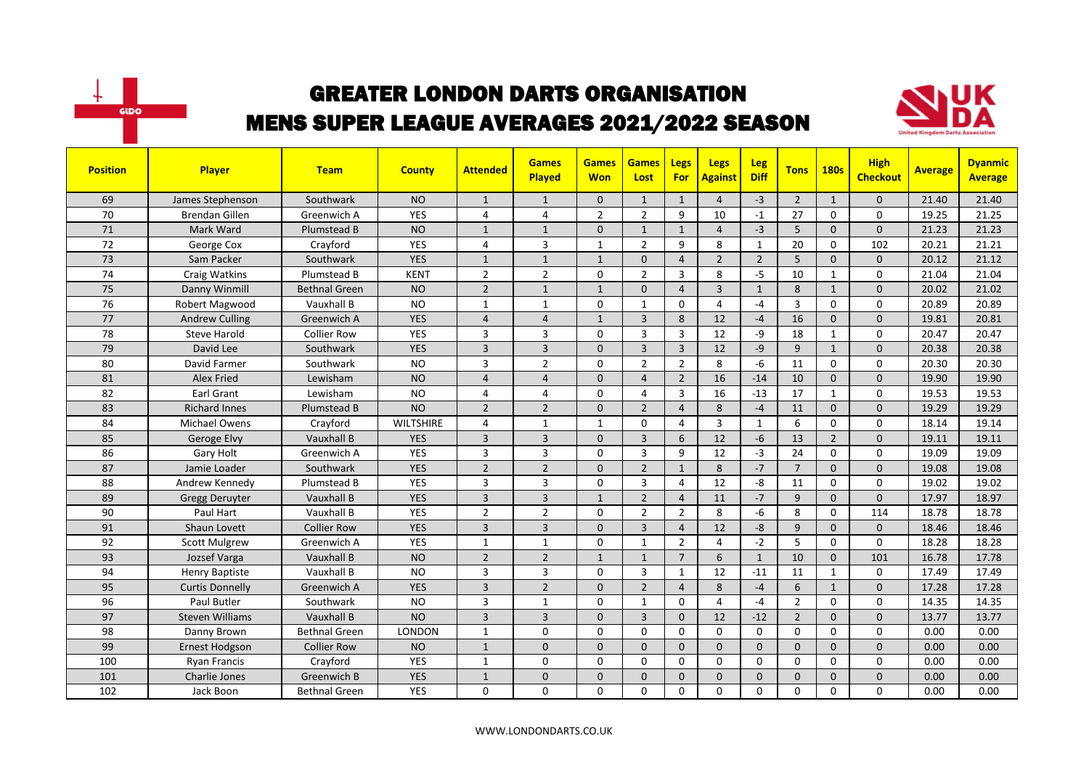



| <b>Position</b> | <b>Player</b>          | <b>Team</b>          | <b>County</b>    | <b>Attended</b> | <b>Games</b><br><b>Played</b> | <b>Games</b><br><b>Won</b> | <b>Games</b><br>Lost | <b>Legs</b><br><b>For</b> | <b>Legs</b><br><b>Against</b> | Leg<br><b>Diff</b> | <b>Tons</b>    | <b>180s</b>    | <b>High</b><br><b>Checkout</b> | <b>Average</b> | <b>Dyanmic</b><br><b>Average</b> |
|-----------------|------------------------|----------------------|------------------|-----------------|-------------------------------|----------------------------|----------------------|---------------------------|-------------------------------|--------------------|----------------|----------------|--------------------------------|----------------|----------------------------------|
| 69              | James Stephenson       | Southwark            | <b>NO</b>        | $\mathbf{1}$    | $\mathbf{1}$                  | $\Omega$                   | $\mathbf{1}$         | $\mathbf{1}$              | $\overline{4}$                | $-3$               | $\overline{2}$ | $\mathbf{1}$   | $\mathbf{0}$                   | 21.40          | 21.40                            |
| 70              | <b>Brendan Gillen</b>  | Greenwich A          | <b>YES</b>       | 4               | $\overline{4}$                | $\overline{2}$             | $\overline{2}$       | 9                         | 10                            | $-1$               | 27             | $\Omega$       | 0                              | 19.25          | 21.25                            |
| 71              | Mark Ward              | Plumstead B          | <b>NO</b>        | $\mathbf{1}$    | $\mathbf{1}$                  | $\mathbf{0}$               | $\mathbf{1}$         | $\mathbf{1}$              | $\overline{4}$                | $-3$               | 5              | $\mathbf 0$    | 0                              | 21.23          | 21.23                            |
| 72              | George Cox             | Crayford             | <b>YES</b>       | 4               | 3                             | 1                          | $\overline{2}$       | 9                         | 8                             | 1                  | 20             | 0              | 102                            | 20.21          | 21.21                            |
| 73              | Sam Packer             | Southwark            | <b>YES</b>       | $\mathbf{1}$    | $\mathbf{1}$                  | $\mathbf{1}$               | $\mathbf{0}$         | $\overline{4}$            | $\overline{2}$                | $\overline{2}$     | 5              | $\mathbf{0}$   | $\mathbf{0}$                   | 20.12          | 21.12                            |
| 74              | Craig Watkins          | Plumstead B          | <b>KENT</b>      | $\overline{2}$  | $\overline{2}$                | 0                          | $\overline{2}$       | 3                         | 8                             | $-5$               | 10             | 1              | 0                              | 21.04          | 21.04                            |
| 75              | Danny Winmill          | <b>Bethnal Green</b> | <b>NO</b>        | $\overline{2}$  | $\mathbf{1}$                  | $\mathbf{1}$               | $\Omega$             | $\overline{4}$            | $\overline{3}$                | $\mathbf{1}$       | 8              | $\mathbf{1}$   | $\mathbf{0}$                   | 20.02          | 21.02                            |
| 76              | Robert Magwood         | Vauxhall B           | <b>NO</b>        | $\mathbf{1}$    | $\mathbf{1}$                  | 0                          | $\mathbf{1}$         | $\Omega$                  | 4                             | $-4$               | $\overline{3}$ | $\Omega$       | $\Omega$                       | 20.89          | 20.89                            |
| 77              | <b>Andrew Culling</b>  | Greenwich A          | <b>YES</b>       | $\overline{4}$  | $\overline{4}$                | $\mathbf{1}$               | 3                    | 8                         | 12                            | $-4$               | 16             | $\mathbf{0}$   | 0                              | 19.81          | 20.81                            |
| 78              | <b>Steve Harold</b>    | <b>Collier Row</b>   | YES              | 3               | 3                             | 0                          | 3                    | 3                         | 12                            | -9                 | 18             | $\mathbf{1}$   | 0                              | 20.47          | 20.47                            |
| 79              | David Lee              | Southwark            | <b>YES</b>       | $\overline{3}$  | $\overline{3}$                | $\mathbf{0}$               | $\overline{3}$       | $\overline{3}$            | 12                            | $-9$               | 9              | $\mathbf{1}$   | $\mathbf{0}$                   | 20.38          | 20.38                            |
| 80              | David Farmer           | Southwark            | <b>NO</b>        | 3               | $\overline{2}$                | 0                          | $\overline{2}$       | $\overline{2}$            | 8                             | $-6$               | 11             | 0              | 0                              | 20.30          | 20.30                            |
| 81              | <b>Alex Fried</b>      | Lewisham             | <b>NO</b>        | $\overline{4}$  | $\overline{a}$                | $\Omega$                   | $\overline{4}$       | $\overline{2}$            | 16                            | $-14$              | 10             | $\Omega$       | $\overline{0}$                 | 19.90          | 19.90                            |
| 82              | <b>Earl Grant</b>      | Lewisham             | <b>NO</b>        | 4               | $\overline{4}$                | 0                          | $\overline{4}$       | $\overline{3}$            | 16                            | $-13$              | 17             | $\mathbf{1}$   | $\Omega$                       | 19.53          | 19.53                            |
| 83              | <b>Richard Innes</b>   | Plumstead B          | <b>NO</b>        | $\overline{2}$  | $\overline{2}$                | $\mathbf{0}$               | $\overline{2}$       | $\overline{4}$            | 8                             | $-4$               | 11             | $\mathbf 0$    | $\mathbf{0}$                   | 19.29          | 19.29                            |
| 84              | <b>Michael Owens</b>   | Crayford             | <b>WILTSHIRE</b> | 4               | $\mathbf{1}$                  | $\mathbf{1}$               | $\Omega$             | 4                         | $\overline{3}$                | $\mathbf{1}$       | 6              | 0              | 0                              | 18.14          | 19.14                            |
| 85              | Geroge Elvy            | Vauxhall B           | <b>YES</b>       | $\overline{3}$  | $\overline{3}$                | $\Omega$                   | $\overline{3}$       | 6                         | 12                            | $-6$               | 13             | $\overline{2}$ | $\mathbf{0}$                   | 19.11          | 19.11                            |
| 86              | Gary Holt              | Greenwich A          | YES              | 3               | 3                             | 0                          | 3                    | 9                         | 12                            | $-3$               | 24             | $\mathbf 0$    | $\mathbf 0$                    | 19.09          | 19.09                            |
| 87              | Jamie Loader           | Southwark            | <b>YES</b>       | $\overline{2}$  | $\overline{2}$                | $\Omega$                   | $\overline{2}$       | $\mathbf{1}$              | 8                             | $-7$               | $\overline{7}$ | $\Omega$       | $\Omega$                       | 19.08          | 19.08                            |
| 88              | Andrew Kennedy         | Plumstead B          | <b>YES</b>       | 3               | 3                             | 0                          | 3                    | 4                         | 12                            | -8                 | 11             | 0              | 0                              | 19.02          | 19.02                            |
| 89              | Gregg Deruyter         | Vauxhall B           | <b>YES</b>       | 3               | $\overline{3}$                | $\mathbf{1}$               | $\overline{2}$       | $\overline{4}$            | 11                            | $-7$               | 9              | $\mathbf{0}$   | $\mathbf{0}$                   | 17.97          | 18.97                            |
| 90              | Paul Hart              | Vauxhall B           | YES              | $\overline{2}$  | $\mathbf 2$                   | 0                          | $\overline{2}$       | $\overline{2}$            | 8                             | $-6$               | 8              | $\mathbf 0$    | 114                            | 18.78          | 18.78                            |
| 91              | Shaun Lovett           | <b>Collier Row</b>   | <b>YES</b>       | $\overline{3}$  | $\overline{3}$                | $\Omega$                   | $\overline{3}$       | $\overline{4}$            | 12                            | $-8$               | 9              | $\mathbf{0}$   | $\mathbf{0}$                   | 18.46          | 18.46                            |
| 92              | <b>Scott Mulgrew</b>   | Greenwich A          | <b>YES</b>       | $\mathbf{1}$    | $\mathbf{1}$                  | 0                          | 1                    | $\overline{2}$            | $\overline{4}$                | $-2$               | 5              | $\Omega$       | $\Omega$                       | 18.28          | 18.28                            |
| 93              | Jozsef Varga           | Vauxhall B           | <b>NO</b>        | $\overline{2}$  | $\overline{2}$                | $\mathbf{1}$               | $\mathbf{1}$         | $\overline{7}$            | 6                             | $\mathbf{1}$       | 10             | $\Omega$       | 101                            | 16.78          | 17.78                            |
| 94              | Henry Baptiste         | Vauxhall B           | <b>NO</b>        | 3               | 3                             | 0                          | 3                    | $\mathbf{1}$              | 12                            | $-11$              | 11             | $\mathbf{1}$   | 0                              | 17.49          | 17.49                            |
| 95              | <b>Curtis Donnelly</b> | Greenwich A          | <b>YES</b>       | 3               | $\overline{2}$                | $\mathbf{0}$               | $\overline{2}$       | $\overline{4}$            | 8                             | $-4$               | 6              | $\mathbf{1}$   | 0                              | 17.28          | 17.28                            |
| 96              | Paul Butler            | Southwark            | <b>NO</b>        | 3               | $\overline{1}$                | 0                          | $\mathbf{1}$         | $\Omega$                  | $\overline{4}$                | $-4$               | $\overline{2}$ | $\Omega$       | $\Omega$                       | 14.35          | 14.35                            |
| 97              | <b>Steven Williams</b> | Vauxhall B           | <b>NO</b>        | $\overline{3}$  | $\overline{3}$                | $\mathbf{0}$               | $\overline{3}$       | $\Omega$                  | 12                            | $-12$              | $\overline{2}$ | $\mathbf{0}$   | $\mathbf{0}$                   | 13.77          | 13.77                            |
| 98              | Danny Brown            | <b>Bethnal Green</b> | <b>LONDON</b>    | 1               | $\Omega$                      | $\Omega$                   | $\Omega$             | $\Omega$                  | $\Omega$                      | $\Omega$           | $\Omega$       | $\Omega$       | $\Omega$                       | 0.00           | 0.00                             |
| 99              | Ernest Hodgson         | <b>Collier Row</b>   | <b>NO</b>        | $\mathbf{1}$    | $\mathbf 0$                   | $\mathbf{0}$               | $\mathbf{0}$         | $\mathbf{0}$              | $\Omega$                      | $\Omega$           | $\Omega$       | $\mathbf 0$    | 0                              | 0.00           | 0.00                             |
| 100             | <b>Ryan Francis</b>    | Crayford             | <b>YES</b>       | $\mathbf{1}$    | 0                             | 0                          | 0                    | $\mathbf 0$               | 0                             | 0                  | 0              | 0              | 0                              | 0.00           | 0.00                             |
| 101             | Charlie Jones          | <b>Greenwich B</b>   | <b>YES</b>       | $\mathbf{1}$    | $\mathbf 0$                   | $\mathbf 0$                | $\overline{0}$       | $\mathbf{0}$              | $\Omega$                      | $\Omega$           | $\Omega$       | $\mathbf 0$    | 0                              | 0.00           | 0.00                             |
| 102             | Jack Boon              | <b>Bethnal Green</b> | YES              | $\Omega$        | $\Omega$                      | 0                          | $\Omega$             | $\mathbf 0$               | $\Omega$                      | $\Omega$           | $\Omega$       | $\Omega$       | $\Omega$                       | 0.00           | 0.00                             |